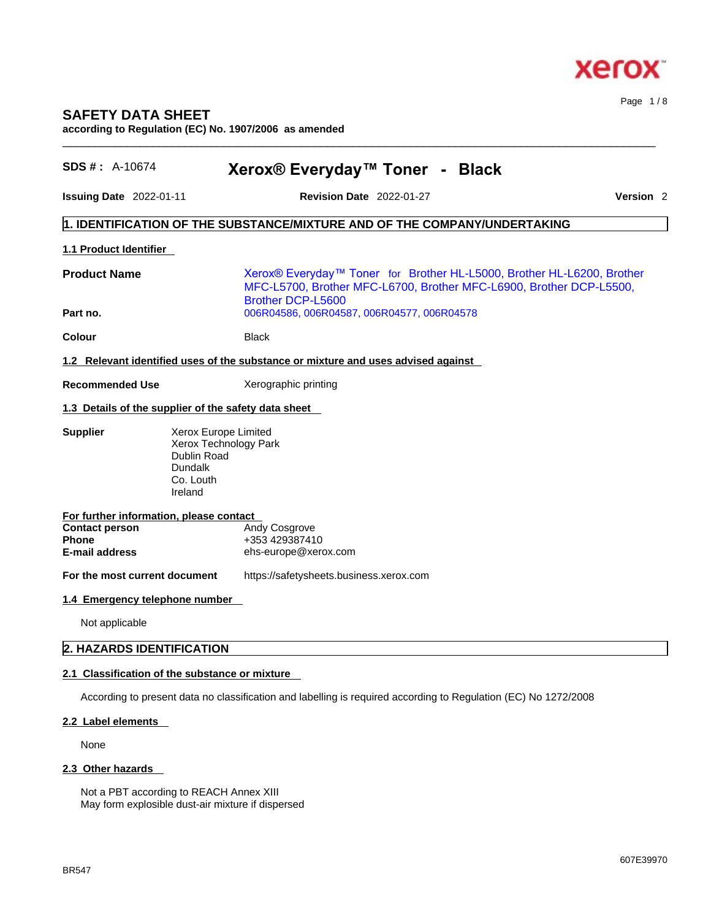

### **SAFETY DATA SHEET**

**according to Regulation (EC) No. 1907/2006 as amended** 

| <b>SDS #</b> : $A-10674$                                | Xerox® Everyday™ Toner - Black                                                                                                                                            |                  |
|---------------------------------------------------------|---------------------------------------------------------------------------------------------------------------------------------------------------------------------------|------------------|
| <b>Issuing Date 2022-01-11</b>                          | <b>Revision Date 2022-01-27</b>                                                                                                                                           | <b>Version 2</b> |
|                                                         | 1. IDENTIFICATION OF THE SUBSTANCE/MIXTURE AND OF THE COMPANY/UNDERTAKING                                                                                                 |                  |
| 1.1 Product Identifier                                  |                                                                                                                                                                           |                  |
| <b>Product Name</b>                                     | Xerox® Everyday™ Toner for Brother HL-L5000, Brother HL-L6200, Brother<br>MFC-L5700, Brother MFC-L6700, Brother MFC-L6900, Brother DCP-L5500,<br><b>Brother DCP-L5600</b> |                  |
| Part no.                                                | 006R04586, 006R04587, 006R04577, 006R04578                                                                                                                                |                  |
| Colour                                                  | Black                                                                                                                                                                     |                  |
|                                                         | 1.2 Relevant identified uses of the substance or mixture and uses advised against                                                                                         |                  |
| <b>Recommended Use</b>                                  | Xerographic printing                                                                                                                                                      |                  |
|                                                         | 1.3 Details of the supplier of the safety data sheet                                                                                                                      |                  |
| <b>Supplier</b><br>Dundalk<br>Ireland                   | Xerox Europe Limited<br>Xerox Technology Park<br><b>Dublin Road</b><br>Co. Louth                                                                                          |                  |
| For further information, please contact                 |                                                                                                                                                                           |                  |
| <b>Contact person</b><br>Phone<br><b>E-mail address</b> | Andy Cosgrove<br>+353 429387410<br>ehs-europe@xerox.com                                                                                                                   |                  |
| For the most current document                           | https://safetysheets.business.xerox.com                                                                                                                                   |                  |
| 1.4 Emergency telephone number                          |                                                                                                                                                                           |                  |
| Not applicable                                          |                                                                                                                                                                           |                  |
| 2. HAZARDS IDENTIFICATION                               |                                                                                                                                                                           |                  |
| 2.1 Classification of the substance or mixture          |                                                                                                                                                                           |                  |
|                                                         | According to present data no classification and labelling is required according to Regulation (EC) No 1272/2008                                                           |                  |
| 2.2 Label elements                                      |                                                                                                                                                                           |                  |

 $\_$  ,  $\_$  ,  $\_$  ,  $\_$  ,  $\_$  ,  $\_$  ,  $\_$  ,  $\_$  ,  $\_$  ,  $\_$  ,  $\_$  ,  $\_$  ,  $\_$  ,  $\_$  ,  $\_$  ,  $\_$  ,  $\_$  ,  $\_$  ,  $\_$  ,  $\_$  ,  $\_$  ,  $\_$  ,  $\_$  ,  $\_$  ,  $\_$  ,  $\_$  ,  $\_$  ,  $\_$  ,  $\_$  ,  $\_$  ,  $\_$  ,  $\_$  ,  $\_$  ,  $\_$  ,  $\_$  ,  $\_$  ,  $\_$  ,

None

#### **2.3 Other hazards**

Not a PBT according to REACH Annex XIII May form explosible dust-air mixture if dispersed Page 1 / 8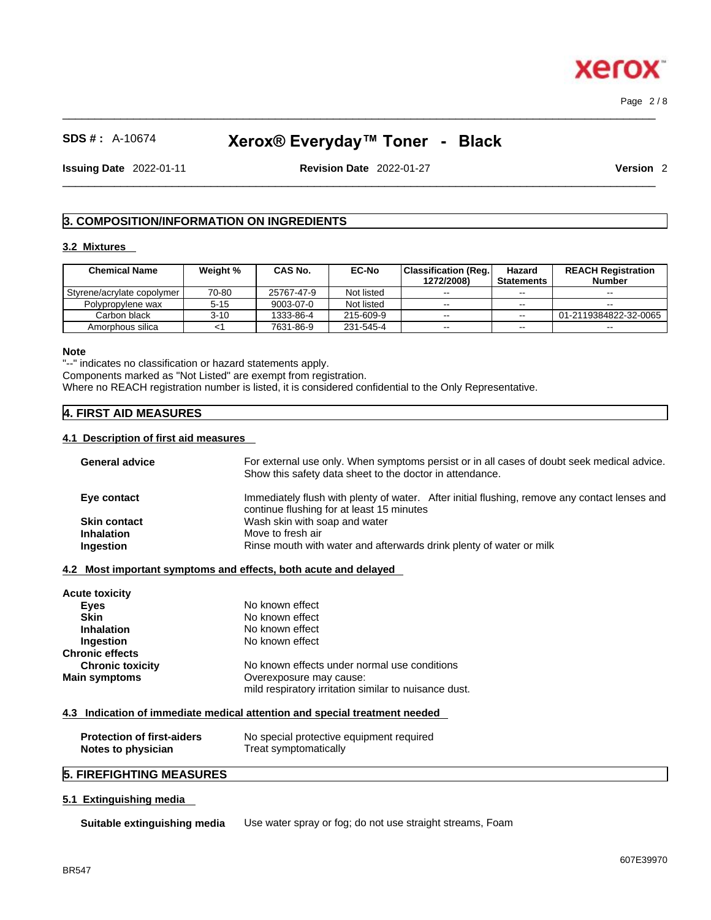Page 2 / 8

**Xero** 

# **SDS # :** A-10674 **Xerox® Everyday™ Toner - Black**

 $\_$  ,  $\_$  ,  $\_$  ,  $\_$  ,  $\_$  ,  $\_$  ,  $\_$  ,  $\_$  ,  $\_$  ,  $\_$  ,  $\_$  ,  $\_$  ,  $\_$  ,  $\_$  ,  $\_$  ,  $\_$  ,  $\_$  ,  $\_$  ,  $\_$  ,  $\_$  ,  $\_$  ,  $\_$  ,  $\_$  ,  $\_$  ,  $\_$  ,  $\_$  ,  $\_$  ,  $\_$  ,  $\_$  ,  $\_$  ,  $\_$  ,  $\_$  ,  $\_$  ,  $\_$  ,  $\_$  ,  $\_$  ,  $\_$  ,

**Issuing Date** 2022-01-11 **Revision Date** 2022-01-27 **Version** 2

 $\_$  ,  $\_$  ,  $\_$  ,  $\_$  ,  $\_$  ,  $\_$  ,  $\_$  ,  $\_$  ,  $\_$  ,  $\_$  ,  $\_$  ,  $\_$  ,  $\_$  ,  $\_$  ,  $\_$  ,  $\_$  ,  $\_$  ,  $\_$  ,  $\_$  ,  $\_$  ,  $\_$  ,  $\_$  ,  $\_$  ,  $\_$  ,  $\_$  ,  $\_$  ,  $\_$  ,  $\_$  ,  $\_$  ,  $\_$  ,  $\_$  ,  $\_$  ,  $\_$  ,  $\_$  ,  $\_$  ,  $\_$  ,  $\_$  ,

#### **3. COMPOSITION/INFORMATION ON INGREDIENTS**

#### **3.2 Mixtures**

| <b>Chemical Name</b>       | Weight % | <b>CAS No.</b> | <b>EC-No</b> | <b>Classification (Reg.)</b><br>1272/2008) | Hazard<br><b>Statements</b> | <b>REACH Registration</b><br>Number |
|----------------------------|----------|----------------|--------------|--------------------------------------------|-----------------------------|-------------------------------------|
| Styrene/acrylate copolymer | 70-80    | 25767-47-9     | Not listed   | $- -$                                      | $\overline{\phantom{m}}$    | $\sim$ $\sim$                       |
| Polypropylene wax          | $5 - 15$ | 9003-07-0      | Not listed   | $- -$                                      | $- -$                       | $- -$                               |
| Carbon black               | $3 - 10$ | 1333-86-4      | 215-609-9    | $- -$                                      | $- -$                       | 01-2119384822-32-0065               |
| Amorphous silica           |          | 7631-86-9      | 231-545-4    | $- -$                                      | $- -$                       | $- -$                               |

#### **Note**

"--" indicates no classification or hazard statements apply. Components marked as "Not Listed" are exempt from registration. Where no REACH registration number is listed, it is considered confidential to the Only Representative.

#### **4. FIRST AID MEASURES**

#### **4.1 Description of first aid measures**

| Eye contact<br>continue flushing for at least 15 minutes | Immediately flush with plenty of water. After initial flushing, remove any contact lenses and |
|----------------------------------------------------------|-----------------------------------------------------------------------------------------------|
|                                                          |                                                                                               |
| Wash skin with soap and water<br><b>Skin contact</b>     |                                                                                               |
| Move to fresh air<br><b>Inhalation</b>                   |                                                                                               |
| <b>Ingestion</b>                                         | Rinse mouth with water and afterwards drink plenty of water or milk                           |

| <b>Acute toxicity</b>   |                                                       |
|-------------------------|-------------------------------------------------------|
| Eyes                    | No known effect                                       |
| <b>Skin</b>             | No known effect                                       |
| <b>Inhalation</b>       | No known effect                                       |
| Ingestion               | No known effect                                       |
| <b>Chronic effects</b>  |                                                       |
| <b>Chronic toxicity</b> | No known effects under normal use conditions          |
| <b>Main symptoms</b>    | Overexposure may cause:                               |
|                         | mild respiratory irritation similar to nuisance dust. |

#### **4.3 Indication of immediate medical attention and special treatment needed**

| <b>Protection of first-aiders</b> | No special protective equipment required |
|-----------------------------------|------------------------------------------|
| Notes to physician                | Treat symptomatically                    |

### **5. FIREFIGHTING MEASURES**

#### **5.1 Extinguishing media**

**Suitable extinguishing media** Use water spray or fog; do not use straight streams, Foam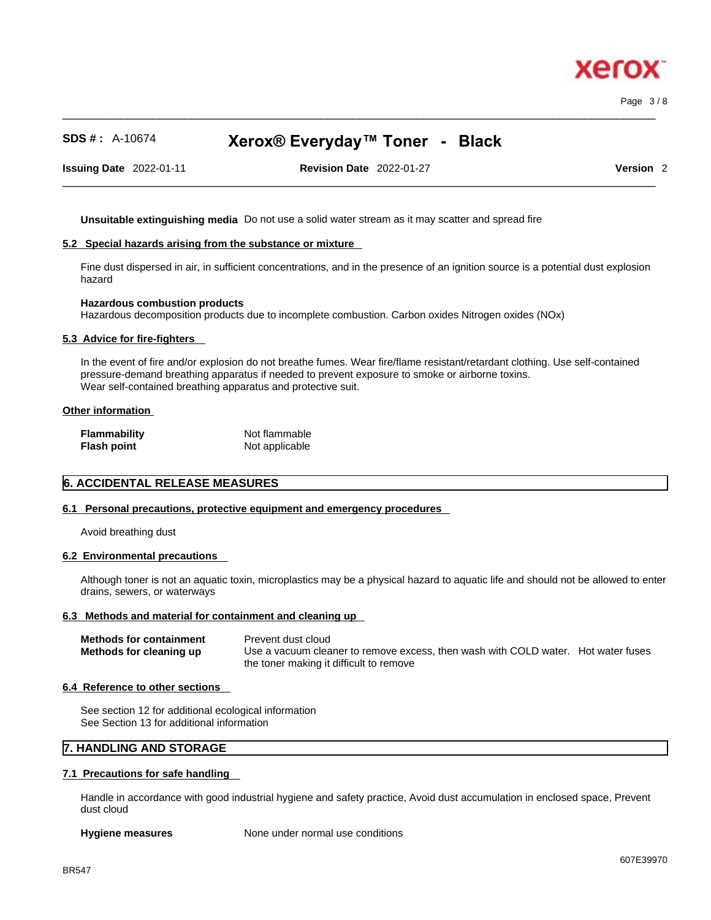Page 3 / 8

xerc

## **SDS # :** A-10674 **Xerox® Everyday™ Toner - Black**

 $\_$  ,  $\_$  ,  $\_$  ,  $\_$  ,  $\_$  ,  $\_$  ,  $\_$  ,  $\_$  ,  $\_$  ,  $\_$  ,  $\_$  ,  $\_$  ,  $\_$  ,  $\_$  ,  $\_$  ,  $\_$  ,  $\_$  ,  $\_$  ,  $\_$  ,  $\_$  ,  $\_$  ,  $\_$  ,  $\_$  ,  $\_$  ,  $\_$  ,  $\_$  ,  $\_$  ,  $\_$  ,  $\_$  ,  $\_$  ,  $\_$  ,  $\_$  ,  $\_$  ,  $\_$  ,  $\_$  ,  $\_$  ,  $\_$  ,

**Issuing Date** 2022-01-11 **Revision Date** 2022-01-27 **Version** 2

 $\_$  ,  $\_$  ,  $\_$  ,  $\_$  ,  $\_$  ,  $\_$  ,  $\_$  ,  $\_$  ,  $\_$  ,  $\_$  ,  $\_$  ,  $\_$  ,  $\_$  ,  $\_$  ,  $\_$  ,  $\_$  ,  $\_$  ,  $\_$  ,  $\_$  ,  $\_$  ,  $\_$  ,  $\_$  ,  $\_$  ,  $\_$  ,  $\_$  ,  $\_$  ,  $\_$  ,  $\_$  ,  $\_$  ,  $\_$  ,  $\_$  ,  $\_$  ,  $\_$  ,  $\_$  ,  $\_$  ,  $\_$  ,  $\_$  ,

**Unsuitable extinguishing media** Do not use a solid water stream as it may scatterand spread fire

#### **5.2 Special hazards arising from the substance or mixture**

Fine dust dispersed in air, in sufficient concentrations, and in the presence of an ignition source is a potential dust explosion hazard

#### **Hazardous combustion products**

Hazardous decomposition products due to incomplete combustion. Carbon oxides Nitrogen oxides (NOx)

#### **5.3 Advice for fire-fighters**

In the event of fire and/or explosion do not breathe fumes. Wear fire/flame resistant/retardant clothing. Use self-contained pressure-demand breathing apparatus if needed to prevent exposure to smoke or airborne toxins. Wear self-contained breathing apparatus and protective suit.

#### **Other information**

| <b>Flammability</b> | Not flammable  |
|---------------------|----------------|
| <b>Flash point</b>  | Not applicable |

#### **6. ACCIDENTAL RELEASE MEASURES**

#### **6.1 Personal precautions, protective equipment and emergency procedures**

Avoid breathing dust

#### **6.2 Environmental precautions**

Although toner is not an aquatic toxin, microplastics may be a physical hazard to aquatic life and should not be allowed to enter drains, sewers, or waterways

#### **6.3 Methods and material for containment and cleaning up**

| <b>Methods for containment</b> | Prevent dust cloud                                                                |
|--------------------------------|-----------------------------------------------------------------------------------|
| Methods for cleaning up        | Use a vacuum cleaner to remove excess, then wash with COLD water. Hot water fuses |
|                                | the toner making it difficult to remove                                           |

#### **6.4 Reference to other sections**

See section 12 for additional ecological information See Section 13 for additional information

#### **7. HANDLING AND STORAGE**

#### **7.1 Precautions for safe handling**

Handle in accordance with good industrial hygiene and safety practice, Avoid dust accumulation in enclosed space, Prevent dust cloud

**Hygiene measures** None under normal use conditions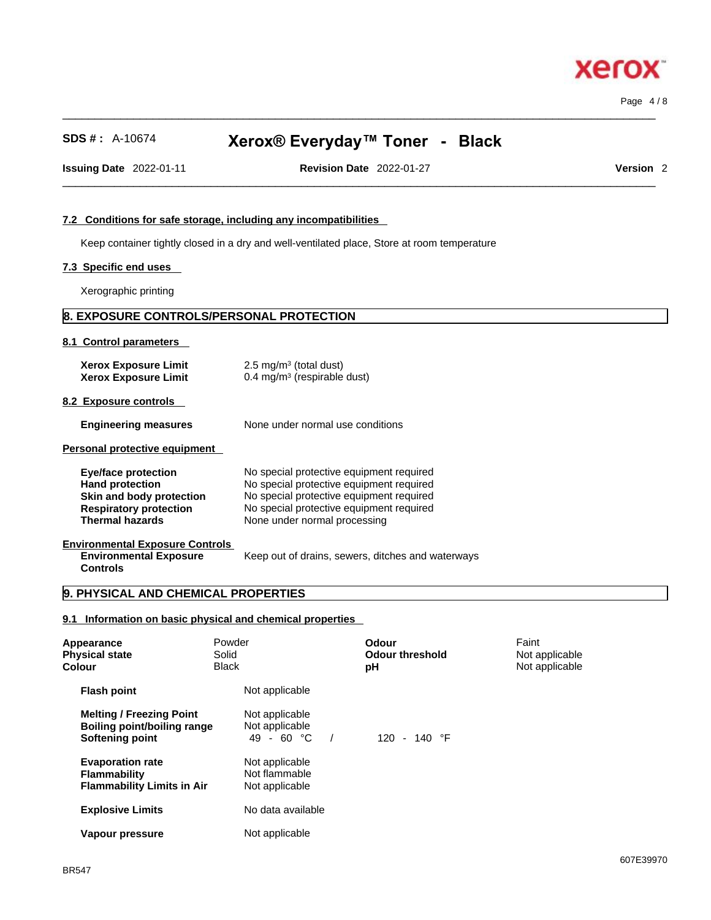# **SDS # :** A-10674 **Xerox® Everyday™ Toner - Black**

 $\_$  ,  $\_$  ,  $\_$  ,  $\_$  ,  $\_$  ,  $\_$  ,  $\_$  ,  $\_$  ,  $\_$  ,  $\_$  ,  $\_$  ,  $\_$  ,  $\_$  ,  $\_$  ,  $\_$  ,  $\_$  ,  $\_$  ,  $\_$  ,  $\_$  ,  $\_$  ,  $\_$  ,  $\_$  ,  $\_$  ,  $\_$  ,  $\_$  ,  $\_$  ,  $\_$  ,  $\_$  ,  $\_$  ,  $\_$  ,  $\_$  ,  $\_$  ,  $\_$  ,  $\_$  ,  $\_$  ,  $\_$  ,  $\_$  ,

 $\_$  ,  $\_$  ,  $\_$  ,  $\_$  ,  $\_$  ,  $\_$  ,  $\_$  ,  $\_$  ,  $\_$  ,  $\_$  ,  $\_$  ,  $\_$  ,  $\_$  ,  $\_$  ,  $\_$  ,  $\_$  ,  $\_$  ,  $\_$  ,  $\_$  ,  $\_$  ,  $\_$  ,  $\_$  ,  $\_$  ,  $\_$  ,  $\_$  ,  $\_$  ,  $\_$  ,  $\_$  ,  $\_$  ,  $\_$  ,  $\_$  ,  $\_$  ,  $\_$  ,  $\_$  ,  $\_$  ,  $\_$  ,  $\_$  ,

**Issuing Date** 2022-01-11 **Revision Date** 2022-01-27 **Version** 2

Page 4 / 8

#### **7.2 Conditions for safe storage, including any incompatibilities**

Keep container tightly closed in a dry and well-ventilated place, Store at room temperature

#### **7.3 Specific end uses**

Xerographic printing

#### **8. EXPOSURE CONTROLS/PERSONAL PROTECTION**

#### **8.1 Control parameters**

| <b>Xerox Exposure Limit</b><br><b>Xerox Exposure Limit</b> | $2.5 \text{ mg/m}^3$ (total dust)<br>$0.4 \text{ mg/m}^3$ (respirable dust) |  |
|------------------------------------------------------------|-----------------------------------------------------------------------------|--|
|                                                            |                                                                             |  |

**8.2 Exposure controls** 

| <b>Engineering measures</b> | None under normal use conditions |
|-----------------------------|----------------------------------|
|-----------------------------|----------------------------------|

**Personal protective equipment** 

| No special protective equipment required<br>No special protective equipment required<br>No special protective equipment required<br>No special protective equipment required<br>None under normal processing |
|--------------------------------------------------------------------------------------------------------------------------------------------------------------------------------------------------------------|
|                                                                                                                                                                                                              |

#### **Environmental Exposure Controls Environmental Exposure Controls**

Keep out of drains, sewers, ditches and waterways

#### **9. PHYSICAL AND CHEMICAL PROPERTIES**

#### **9.1 Information on basic physical and chemical properties**

| Appearance<br><b>Physical state</b><br>Colour                                       | Powder<br>Solid<br><b>Black</b> |                                                   | Odour<br><b>Odour threshold</b><br>рH | Faint<br>Not applicable<br>Not applicable |
|-------------------------------------------------------------------------------------|---------------------------------|---------------------------------------------------|---------------------------------------|-------------------------------------------|
| <b>Flash point</b>                                                                  |                                 | Not applicable                                    |                                       |                                           |
| <b>Melting / Freezing Point</b><br>Boiling point/boiling range<br>Softening point   |                                 | Not applicable<br>Not applicable<br>49 - 60 °C    | 120 - 140 $\degree$ F                 |                                           |
| <b>Evaporation rate</b><br><b>Flammability</b><br><b>Flammability Limits in Air</b> |                                 | Not applicable<br>Not flammable<br>Not applicable |                                       |                                           |
| <b>Explosive Limits</b>                                                             |                                 | No data available                                 |                                       |                                           |
| Vapour pressure                                                                     |                                 | Not applicable                                    |                                       |                                           |

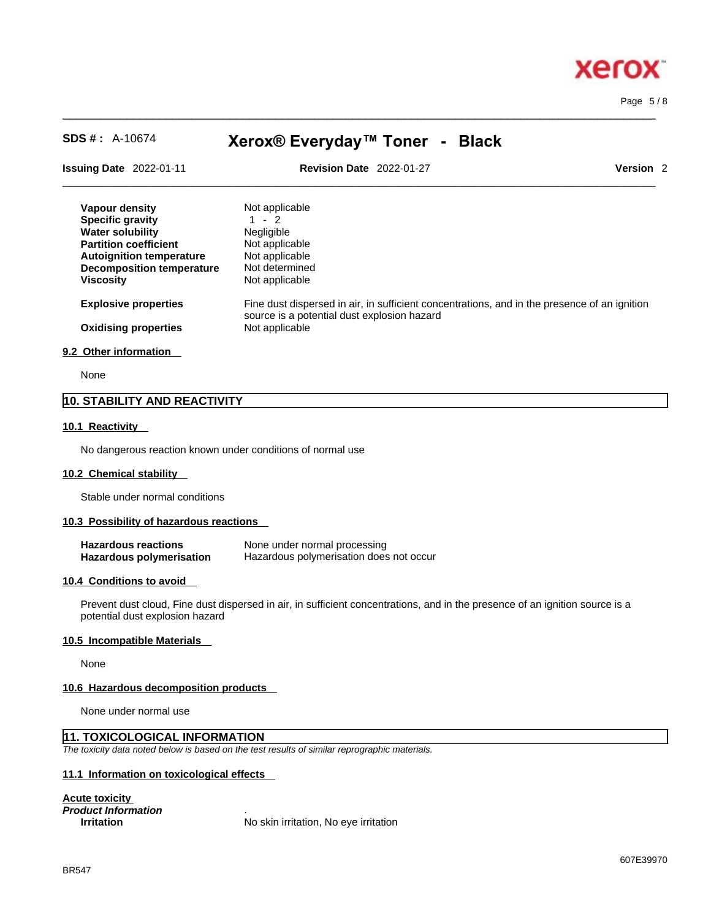

Page 5 / 8

# **SDS # :** A-10674 **Xerox® Everyday™ Toner - Black**

 $\_$  ,  $\_$  ,  $\_$  ,  $\_$  ,  $\_$  ,  $\_$  ,  $\_$  ,  $\_$  ,  $\_$  ,  $\_$  ,  $\_$  ,  $\_$  ,  $\_$  ,  $\_$  ,  $\_$  ,  $\_$  ,  $\_$  ,  $\_$  ,  $\_$  ,  $\_$  ,  $\_$  ,  $\_$  ,  $\_$  ,  $\_$  ,  $\_$  ,  $\_$  ,  $\_$  ,  $\_$  ,  $\_$  ,  $\_$  ,  $\_$  ,  $\_$  ,  $\_$  ,  $\_$  ,  $\_$  ,  $\_$  ,  $\_$  ,

| <b>Issuing Date 2022-01-11</b>   | <b>Revision Date 2022-01-27</b><br>Version <sub>2</sub>                                                                                     |
|----------------------------------|---------------------------------------------------------------------------------------------------------------------------------------------|
| Vapour density                   | Not applicable                                                                                                                              |
| <b>Specific gravity</b>          | $1 - 2$                                                                                                                                     |
| <b>Water solubility</b>          | Negligible                                                                                                                                  |
| <b>Partition coefficient</b>     | Not applicable                                                                                                                              |
| <b>Autoignition temperature</b>  | Not applicable                                                                                                                              |
| <b>Decomposition temperature</b> | Not determined                                                                                                                              |
| <b>Viscosity</b>                 | Not applicable                                                                                                                              |
| <b>Explosive properties</b>      | Fine dust dispersed in air, in sufficient concentrations, and in the presence of an ignition<br>source is a potential dust explosion hazard |
| <b>Oxidising properties</b>      | Not applicable                                                                                                                              |

None

#### **10. STABILITY AND REACTIVITY**

#### **10.1 Reactivity**

No dangerous reaction known under conditions of normal use

#### **10.2 Chemical stability**

Stable under normal conditions

#### **10.3 Possibility of hazardous reactions**

| <b>Hazardous reactions</b>      | None under normal processing            |
|---------------------------------|-----------------------------------------|
| <b>Hazardous polymerisation</b> | Hazardous polymerisation does not occur |

#### **10.4 Conditions to avoid**

Prevent dust cloud, Fine dust dispersed in air, in sufficient concentrations, and in the presence of an ignition source is a potential dust explosion hazard

#### **10.5 Incompatible Materials**

None

#### **10.6 Hazardous decomposition products**

None under normal use

#### **11. TOXICOLOGICAL INFORMATION**

*The toxicity data noted below is based on the test results of similar reprographic materials.* 

#### **11.1 Information on toxicological effects**

**Acute toxicity** *Product Information* .

**Irritation** No skin irritation, No eye irritation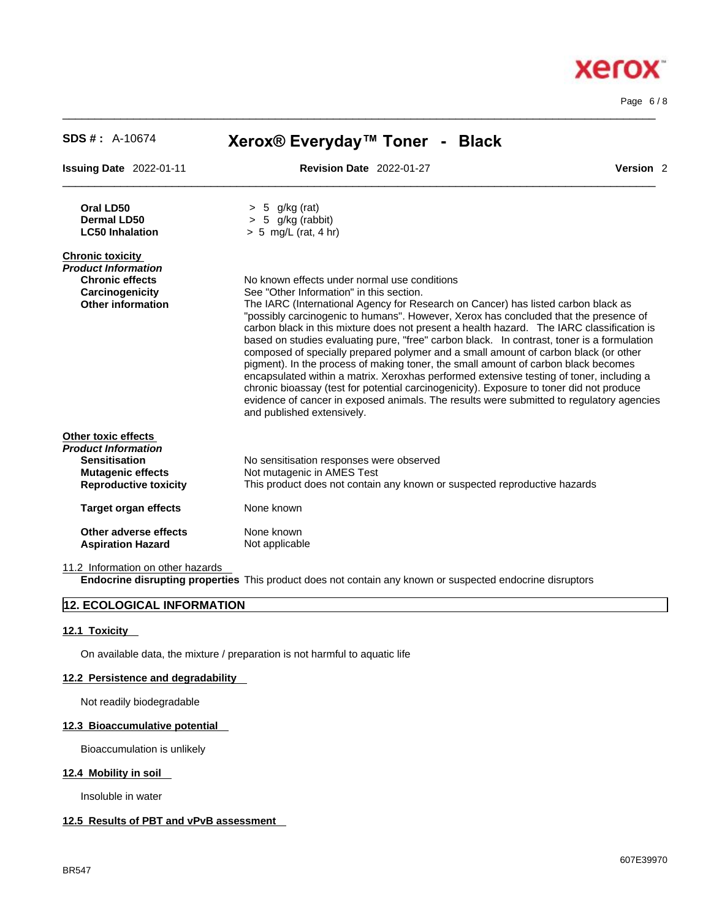| $SDS #: A-10674$                                  | Xerox® Everyday™ Toner - Black                                                                                                                                                                                                                                                                                                                                                                                                                                                                                                                                                                                                                                                                                                                                                                                                                                      |  |
|---------------------------------------------------|---------------------------------------------------------------------------------------------------------------------------------------------------------------------------------------------------------------------------------------------------------------------------------------------------------------------------------------------------------------------------------------------------------------------------------------------------------------------------------------------------------------------------------------------------------------------------------------------------------------------------------------------------------------------------------------------------------------------------------------------------------------------------------------------------------------------------------------------------------------------|--|
| <b>Issuing Date</b> 2022-01-11                    | Version <sub>2</sub><br><b>Revision Date 2022-01-27</b>                                                                                                                                                                                                                                                                                                                                                                                                                                                                                                                                                                                                                                                                                                                                                                                                             |  |
| Oral LD50                                         | $> 5$ g/kg (rat)                                                                                                                                                                                                                                                                                                                                                                                                                                                                                                                                                                                                                                                                                                                                                                                                                                                    |  |
| Dermal LD50<br><b>LC50 Inhalation</b>             | $> 5$ g/kg (rabbit)<br>$> 5$ mg/L (rat, 4 hr)                                                                                                                                                                                                                                                                                                                                                                                                                                                                                                                                                                                                                                                                                                                                                                                                                       |  |
| Chronic toxicity                                  |                                                                                                                                                                                                                                                                                                                                                                                                                                                                                                                                                                                                                                                                                                                                                                                                                                                                     |  |
| Product Information<br><b>Chronic effects</b>     | No known effects under normal use conditions                                                                                                                                                                                                                                                                                                                                                                                                                                                                                                                                                                                                                                                                                                                                                                                                                        |  |
| Carcinogenicity                                   | See "Other Information" in this section.                                                                                                                                                                                                                                                                                                                                                                                                                                                                                                                                                                                                                                                                                                                                                                                                                            |  |
| <b>Other information</b>                          | The IARC (International Agency for Research on Cancer) has listed carbon black as<br>"possibly carcinogenic to humans". However, Xerox has concluded that the presence of<br>carbon black in this mixture does not present a health hazard. The IARC classification is<br>based on studies evaluating pure, "free" carbon black. In contrast, toner is a formulation<br>composed of specially prepared polymer and a small amount of carbon black (or other<br>pigment). In the process of making toner, the small amount of carbon black becomes<br>encapsulated within a matrix. Xeroxhas performed extensive testing of toner, including a<br>chronic bioassay (test for potential carcinogenicity). Exposure to toner did not produce<br>evidence of cancer in exposed animals. The results were submitted to regulatory agencies<br>and published extensively. |  |
| Other toxic effects<br><b>Product Information</b> |                                                                                                                                                                                                                                                                                                                                                                                                                                                                                                                                                                                                                                                                                                                                                                                                                                                                     |  |
| <b>Sensitisation</b>                              | No sensitisation responses were observed                                                                                                                                                                                                                                                                                                                                                                                                                                                                                                                                                                                                                                                                                                                                                                                                                            |  |
| <b>Mutagenic effects</b>                          | Not mutagenic in AMES Test                                                                                                                                                                                                                                                                                                                                                                                                                                                                                                                                                                                                                                                                                                                                                                                                                                          |  |
| <b>Reproductive toxicity</b>                      | This product does not contain any known or suspected reproductive hazards                                                                                                                                                                                                                                                                                                                                                                                                                                                                                                                                                                                                                                                                                                                                                                                           |  |
| <b>Target organ effects</b>                       | None known                                                                                                                                                                                                                                                                                                                                                                                                                                                                                                                                                                                                                                                                                                                                                                                                                                                          |  |
|                                                   |                                                                                                                                                                                                                                                                                                                                                                                                                                                                                                                                                                                                                                                                                                                                                                                                                                                                     |  |

 $\_$  ,  $\_$  ,  $\_$  ,  $\_$  ,  $\_$  ,  $\_$  ,  $\_$  ,  $\_$  ,  $\_$  ,  $\_$  ,  $\_$  ,  $\_$  ,  $\_$  ,  $\_$  ,  $\_$  ,  $\_$  ,  $\_$  ,  $\_$  ,  $\_$  ,  $\_$  ,  $\_$  ,  $\_$  ,  $\_$  ,  $\_$  ,  $\_$  ,  $\_$  ,  $\_$  ,  $\_$  ,  $\_$  ,  $\_$  ,  $\_$  ,  $\_$  ,  $\_$  ,  $\_$  ,  $\_$  ,  $\_$  ,  $\_$  ,

11.2 Information on other hazards

**Aspiration Hazard** 

**Other adverse effects** None known<br> **Aspiration Hazard** Not applicable

**Endocrine disrupting properties** This product does not contain any known or suspected endocrine disruptors

#### **12. ECOLOGICAL INFORMATION**

#### **12.1 Toxicity**

On available data, the mixture / preparation is not harmful to aquatic life

#### **12.2 Persistence and degradability**

Not readily biodegradable

#### **12.3 Bioaccumulative potential**

Bioaccumulation is unlikely

#### **12.4 Mobility in soil**

Insoluble in water

#### **12.5 Results of PBT and vPvB assessment**

607E39970



Page 6 / 8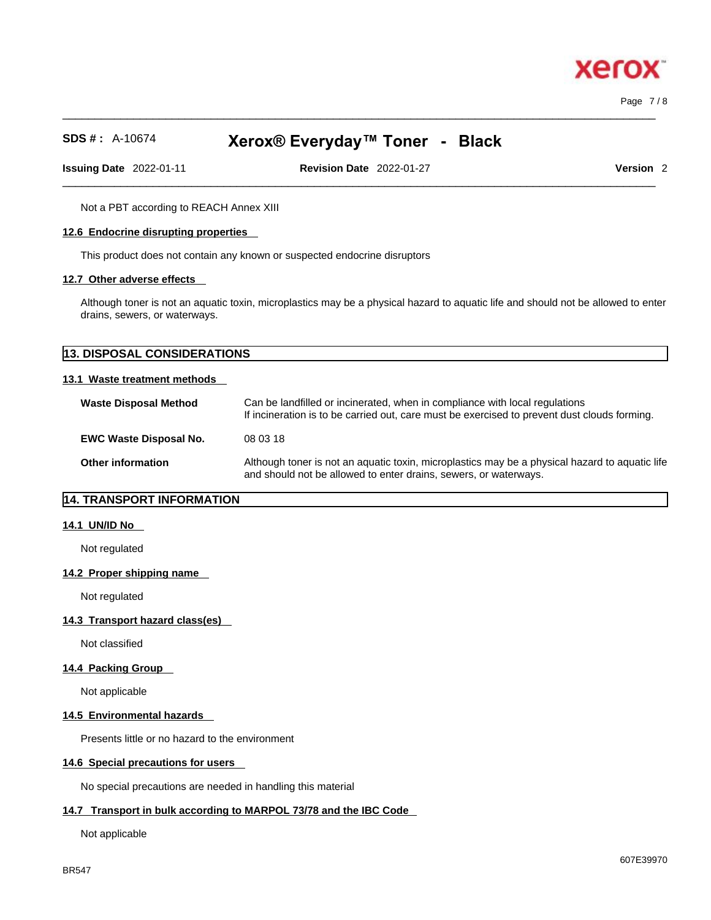Page 7 / 8

хего

# **SDS # :** A-10674 **Xerox® Everyday™ Toner - Black**

 $\_$  ,  $\_$  ,  $\_$  ,  $\_$  ,  $\_$  ,  $\_$  ,  $\_$  ,  $\_$  ,  $\_$  ,  $\_$  ,  $\_$  ,  $\_$  ,  $\_$  ,  $\_$  ,  $\_$  ,  $\_$  ,  $\_$  ,  $\_$  ,  $\_$  ,  $\_$  ,  $\_$  ,  $\_$  ,  $\_$  ,  $\_$  ,  $\_$  ,  $\_$  ,  $\_$  ,  $\_$  ,  $\_$  ,  $\_$  ,  $\_$  ,  $\_$  ,  $\_$  ,  $\_$  ,  $\_$  ,  $\_$  ,  $\_$  ,

**Issuing Date** 2022-01-11 **Revision Date** 2022-01-27 **Version** 2

 $\_$  ,  $\_$  ,  $\_$  ,  $\_$  ,  $\_$  ,  $\_$  ,  $\_$  ,  $\_$  ,  $\_$  ,  $\_$  ,  $\_$  ,  $\_$  ,  $\_$  ,  $\_$  ,  $\_$  ,  $\_$  ,  $\_$  ,  $\_$  ,  $\_$  ,  $\_$  ,  $\_$  ,  $\_$  ,  $\_$  ,  $\_$  ,  $\_$  ,  $\_$  ,  $\_$  ,  $\_$  ,  $\_$  ,  $\_$  ,  $\_$  ,  $\_$  ,  $\_$  ,  $\_$  ,  $\_$  ,  $\_$  ,  $\_$  ,

Not a PBT according to REACH Annex XIII

#### **12.6 Endocrine disrupting properties**

This product does not contain any known or suspected endocrine disruptors

#### **12.7 Other adverse effects**

Although toner is not an aquatic toxin, microplastics may be a physical hazard to aquatic life and should not be allowed to enter drains, sewers, or waterways.

| 13. DISPOSAL CONSIDERATIONS   |                                                                                                                                                                             |  |
|-------------------------------|-----------------------------------------------------------------------------------------------------------------------------------------------------------------------------|--|
| 13.1 Waste treatment methods  |                                                                                                                                                                             |  |
| <b>Waste Disposal Method</b>  | Can be landfilled or incinerated, when in compliance with local regulations<br>If incineration is to be carried out, care must be exercised to prevent dust clouds forming. |  |
| <b>EWC Waste Disposal No.</b> | 08 03 18                                                                                                                                                                    |  |
| <b>Other information</b>      | Although toner is not an aquatic toxin, microplastics may be a physical hazard to aquatic life<br>and should not be allowed to enter drains, sewers, or waterways.          |  |

#### **14. TRANSPORT INFORMATION**

#### **14.1 UN/ID No**

Not regulated

#### **14.2 Proper shipping name**

Not regulated

#### **14.3 Transport hazard class(es)**

Not classified

#### **14.4 Packing Group**

Not applicable

#### **14.5 Environmental hazards**

Presents little or no hazard to the environment

#### **14.6 Special precautions for users**

No special precautions are needed in handling this material

#### **14.7 Transport in bulk according to MARPOL 73/78 and the IBC Code**

Not applicable